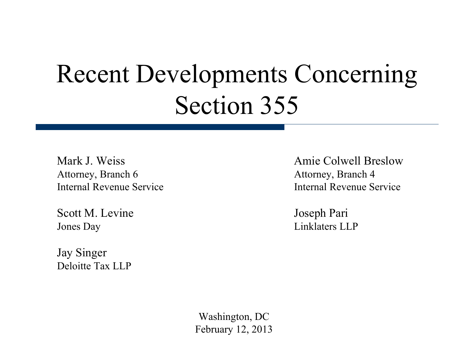# Recent Developments Concerning Section 355

Attorney, Branch 6 Attorney, Branch 4

Scott M. Levine Joseph Pari Jones Day Linklaters LLP

Jay Singer Deloitte Tax LLP

Mark J. Weiss **Amie Colwell Breslow** Internal Revenue Service Internal Revenue Service

Washington, DC February 12, 2013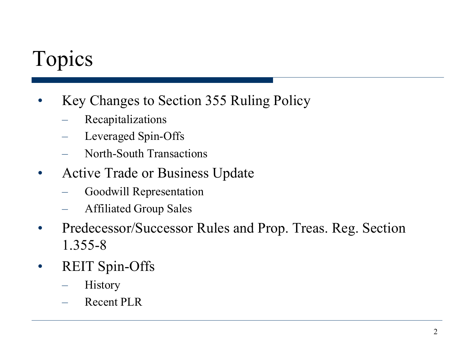## Topics

- Key Changes to Section 355 Ruling Policy
	- Recapitalizations
	- Leveraged Spin-Offs
	- North-South Transactions
- Active Trade or Business Update
	- Goodwill Representation
	- Affiliated Group Sales
- Predecessor/Successor Rules and Prop. Treas. Reg. Section 1.355-8
- REIT Spin-Offs
	- **History**
	- Recent PLR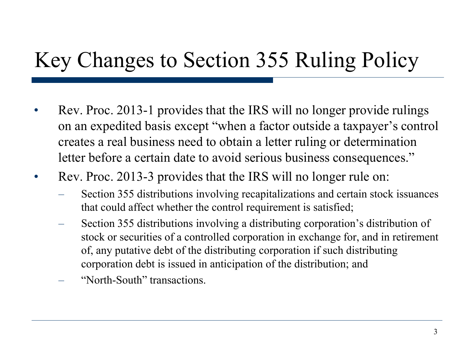## Key Changes to Section 355 Ruling Policy

- Rev. Proc. 2013-1 provides that the IRS will no longer provide rulings on an expedited basis except "when a factor outside a taxpayer's control creates a real business need to obtain a letter ruling or determination letter before a certain date to avoid serious business consequences."
- Rev. Proc. 2013-3 provides that the IRS will no longer rule on:
	- Section 355 distributions involving recapitalizations and certain stock issuances that could affect whether the control requirement is satisfied;
	- Section 355 distributions involving a distributing corporation's distribution of stock or securities of a controlled corporation in exchange for, and in retirement of, any putative debt of the distributing corporation if such distributing corporation debt is issued in anticipation of the distribution; and
	- "North-South" transactions.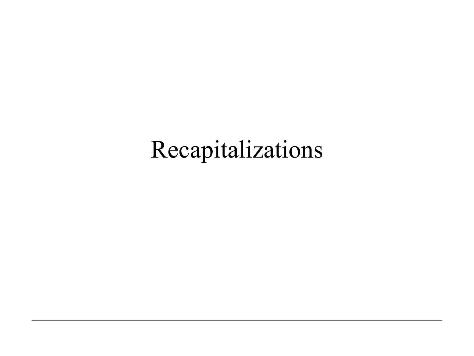# Recapitalizations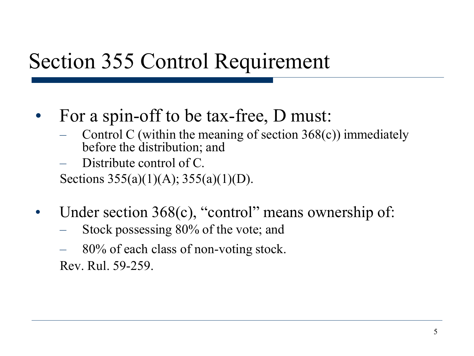#### Section 355 Control Requirement

- For a spin-off to be tax-free, D must:<br>- Control C (within the meaning of section 368(c)) immediately
	- before the distribution; and
	- Distribute control of C.

Sections 355(a)(1)(A); 355(a)(1)(D).

- Under section 368(c), "control" means ownership of:
	- Stock possessing 80% of the vote; and
	- 80% of each class of non-voting stock. Rev. Rul. 59-259.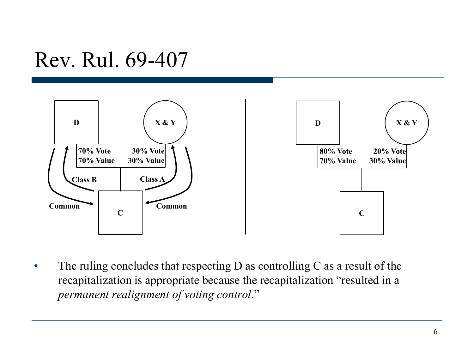#### Rev. Rul. 69-407



• The ruling concludes that respecting D as controlling C as a result of the recapitalization is appropriate because the recapitalization "resulted in a *permanent realignment of voting control*."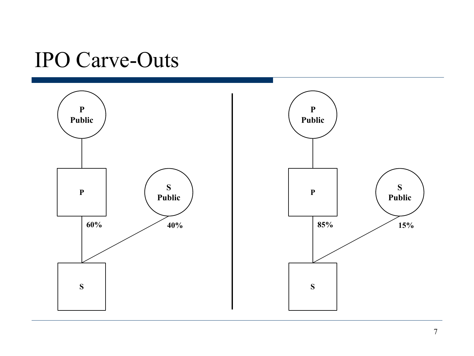#### IPO Carve-Outs

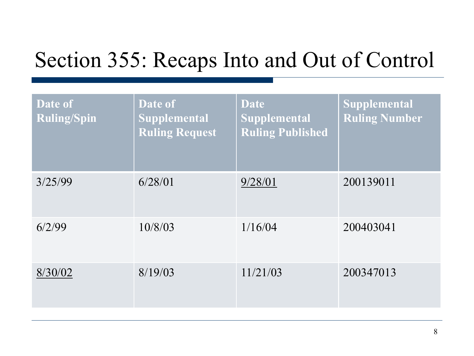### Section 355: Recaps Into and Out of Control

| Date of<br><b>Ruling/Spin</b> | Date of<br><b>Supplemental</b><br><b>Ruling Request</b> | <b>Date</b><br><b>Supplemental</b><br><b>Ruling Published</b> | Supplemental<br><b>Ruling Number</b> |
|-------------------------------|---------------------------------------------------------|---------------------------------------------------------------|--------------------------------------|
| 3/25/99                       | 6/28/01                                                 | 9/28/01                                                       | 200139011                            |
| 6/2/99                        | 10/8/03                                                 | 1/16/04                                                       | 200403041                            |
| 8/30/02                       | 8/19/03                                                 | 11/21/03                                                      | 200347013                            |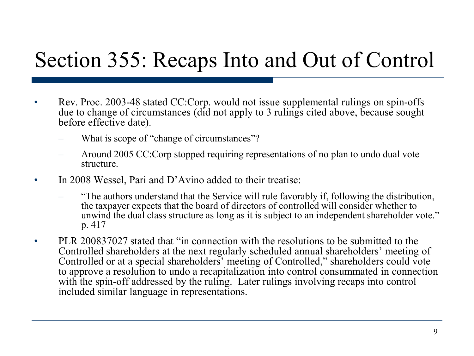#### Section 355: Recaps Into and Out of Control

- Rev. Proc. 2003-48 stated CC:Corp. would not issue supplemental rulings on spin-offs due to change of circumstances (did not apply to 3 rulings cited above, because sought before effective date).
	- What is scope of "change of circumstances"?
	- Around 2005 CC:Corp stopped requiring representations of no plan to undo dual vote structure.
- In 2008 Wessel, Pari and D'Avino added to their treatise:
	- "The authors understand that the Service will rule favorably if, following the distribution, the taxpayer expects that the board of directors of controlled will consider whether to unwind the dual class structure as long as it is subject to an independent shareholder vote." p. 417
- PLR 200837027 stated that "in connection with the resolutions to be submitted to the Controlled shareholders at the next regularly scheduled annual shareholders' meeting of Controlled or at a special shareholders' meeting of Controlled," shareholders could vote to approve a resolution to undo a recapitalization into control consummated in connection with the spin-off addressed by the ruling. Later rulings involving recaps into control included similar language in representations.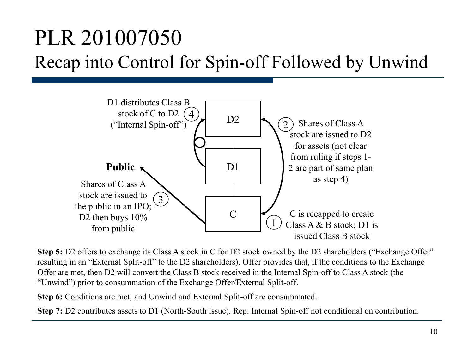### PLR 201007050 Recap into Control for Spin-off Followed by Unwind



**Step 5:** D2 offers to exchange its Class A stock in C for D2 stock owned by the D2 shareholders ("Exchange Offer" resulting in an "External Split-off" to the D2 shareholders). Offer provides that, if the conditions to the Exchange Offer are met, then D2 will convert the Class B stock received in the Internal Spin-off to Class A stock (the "Unwind") prior to consummation of the Exchange Offer/External Split-off.

**Step 6:** Conditions are met, and Unwind and External Split-off are consummated.

**Step 7:** D2 contributes assets to D1 (North-South issue). Rep: Internal Spin-off not conditional on contribution.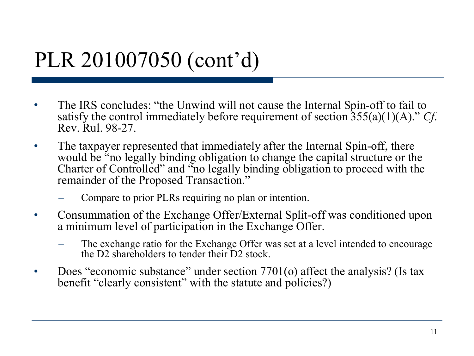### PLR 201007050 (cont'd)

- The IRS concludes: "the Unwind will not cause the Internal Spin-off to fail to satisfy the control immediately before requirement of section 355(a)(1)(A)." *Cf*. Rev. Rul. 98-27.
- The taxpayer represented that immediately after the Internal Spin-off, there would be "no legally binding obligation to change the capital structure or the Charter of Controlled" and "no legally binding obligation to proceed with the remainder of the Proposed Transaction."
	- Compare to prior PLRs requiring no plan or intention.
- Consummation of the Exchange Offer/External Split-off was conditioned upon a minimum level of participation in the Exchange Offer.
	- The exchange ratio for the Exchange Offer was set at a level intended to encourage the D2 shareholders to tender their D2 stock.
- Does "economic substance" under section 7701(o) affect the analysis? (Is tax benefit "clearly consistent" with the statute and policies?)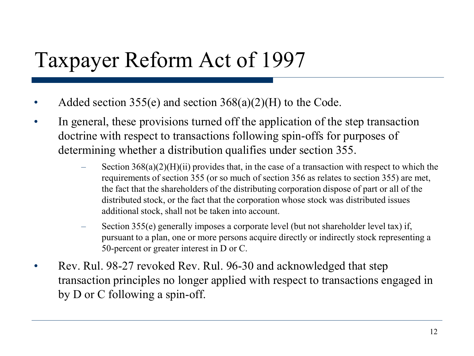## Taxpayer Reform Act of 1997

- Added section 355(e) and section  $368(a)(2)(H)$  to the Code.
- In general, these provisions turned off the application of the step transaction doctrine with respect to transactions following spin-offs for purposes of determining whether a distribution qualifies under section 355.
	- Section  $368(a)(2)(H)(ii)$  provides that, in the case of a transaction with respect to which the requirements of section 355 (or so much of section 356 as relates to section 355) are met, the fact that the shareholders of the distributing corporation dispose of part or all of the distributed stock, or the fact that the corporation whose stock was distributed issues additional stock, shall not be taken into account.
	- Section 355(e) generally imposes a corporate level (but not shareholder level tax) if, pursuant to a plan, one or more persons acquire directly or indirectly stock representing a 50-percent or greater interest in D or C.
- Rev. Rul. 98-27 revoked Rev. Rul. 96-30 and acknowledged that step transaction principles no longer applied with respect to transactions engaged in by D or C following a spin-off.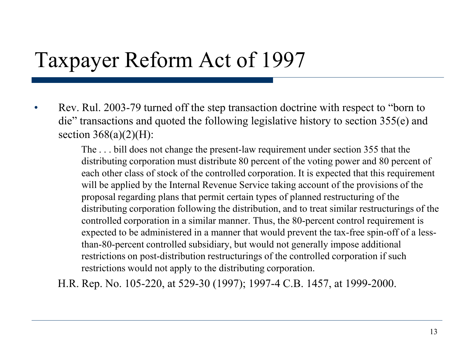#### Taxpayer Reform Act of 1997

• Rev. Rul. 2003-79 turned off the step transaction doctrine with respect to "born to" die" transactions and quoted the following legislative history to section 355(e) and section  $368(a)(2)(H)$ :

> The . . . bill does not change the present-law requirement under section 355 that the distributing corporation must distribute 80 percent of the voting power and 80 percent of each other class of stock of the controlled corporation. It is expected that this requirement will be applied by the Internal Revenue Service taking account of the provisions of the proposal regarding plans that permit certain types of planned restructuring of the distributing corporation following the distribution, and to treat similar restructurings of the controlled corporation in a similar manner. Thus, the 80-percent control requirement is expected to be administered in a manner that would prevent the tax-free spin-off of a lessthan-80-percent controlled subsidiary, but would not generally impose additional restrictions on post-distribution restructurings of the controlled corporation if such restrictions would not apply to the distributing corporation.

H.R. Rep. No. 105-220, at 529-30 (1997); 1997-4 C.B. 1457, at 1999-2000.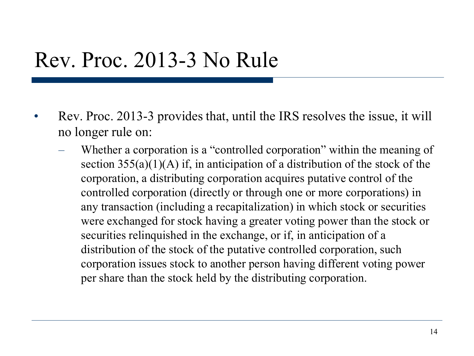#### Rev. Proc. 2013-3 No Rule

- Rev. Proc. 2013-3 provides that, until the IRS resolves the issue, it will no longer rule on:
	- Whether a corporation is a "controlled corporation" within the meaning of section  $355(a)(1)(A)$  if, in anticipation of a distribution of the stock of the corporation, a distributing corporation acquires putative control of the controlled corporation (directly or through one or more corporations) in any transaction (including a recapitalization) in which stock or securities were exchanged for stock having a greater voting power than the stock or securities relinquished in the exchange, or if, in anticipation of a distribution of the stock of the putative controlled corporation, such corporation issues stock to another person having different voting power per share than the stock held by the distributing corporation.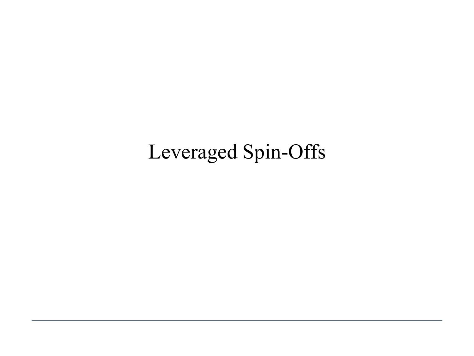## Leveraged Spin-Offs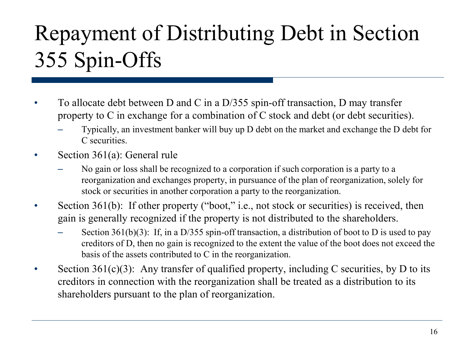# Repayment of Distributing Debt in Section 355 Spin-Offs

- To allocate debt between D and C in a D/355 spin-off transaction, D may transfer property to C in exchange for a combination of C stock and debt (or debt securities).
	- Typically, an investment banker will buy up D debt on the market and exchange the D debt for C securities.
- Section 361(a): General rule
	- No gain or loss shall be recognized to a corporation if such corporation is a party to a reorganization and exchanges property, in pursuance of the plan of reorganization, solely for stock or securities in another corporation a party to the reorganization.
- Section 361(b): If other property ("boot," i.e., not stock or securities) is received, then gain is generally recognized if the property is not distributed to the shareholders.
	- Section 361(b)(3): If, in a D/355 spin-off transaction, a distribution of boot to D is used to pay creditors of D, then no gain is recognized to the extent the value of the boot does not exceed the basis of the assets contributed to C in the reorganization.
- Section  $361(c)(3)$ : Any transfer of qualified property, including C securities, by D to its creditors in connection with the reorganization shall be treated as a distribution to its shareholders pursuant to the plan of reorganization.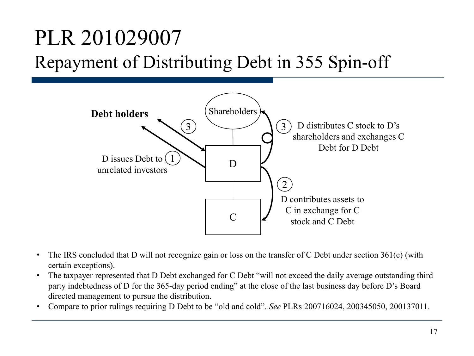#### PLR 201029007 Repayment of Distributing Debt in 355 Spin-off



- The IRS concluded that D will not recognize gain or loss on the transfer of C Debt under section 361(c) (with certain exceptions).
- The taxpayer represented that D Debt exchanged for C Debt "will not exceed the daily average outstanding third party indebtedness of D for the 365-day period ending" at the close of the last business day before D's Board directed management to pursue the distribution.
- Compare to prior rulings requiring D Debt to be "old and cold". *See* PLRs 200716024, 200345050, 200137011.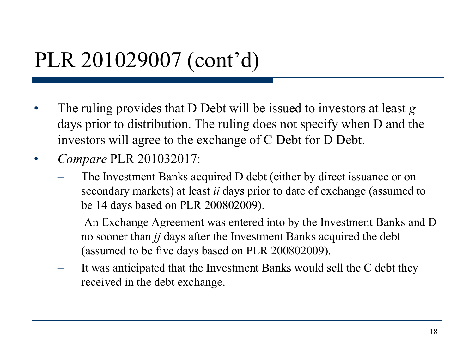#### PLR 201029007 (cont'd)

- The ruling provides that D Debt will be issued to investors at least *g* days prior to distribution. The ruling does not specify when D and the investors will agree to the exchange of C Debt for D Debt.
- *Compare* PLR 201032017:
	- The Investment Banks acquired D debt (either by direct issuance or on secondary markets) at least *ii* days prior to date of exchange (assumed to be 14 days based on PLR 200802009).
	- An Exchange Agreement was entered into by the Investment Banks and D no sooner than *jj* days after the Investment Banks acquired the debt (assumed to be five days based on PLR 200802009).
	- It was anticipated that the Investment Banks would sell the C debt they received in the debt exchange.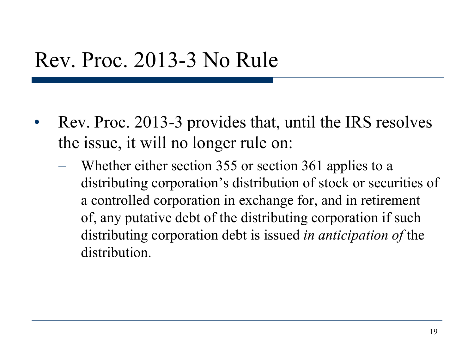#### Rev. Proc. 2013-3 No Rule

- Rev. Proc. 2013-3 provides that, until the IRS resolves the issue, it will no longer rule on:
	- Whether either section 355 or section 361 applies to a distributing corporation's distribution of stock or securities of a controlled corporation in exchange for, and in retirement of, any putative debt of the distributing corporation if such distributing corporation debt is issued *in anticipation of* the distribution.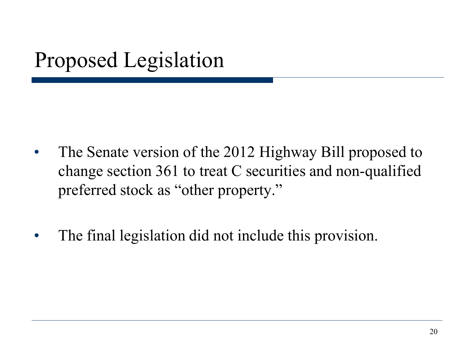## Proposed Legislation

- The Senate version of the 2012 Highway Bill proposed to change section 361 to treat C securities and non-qualified preferred stock as "other property."
- The final legislation did not include this provision.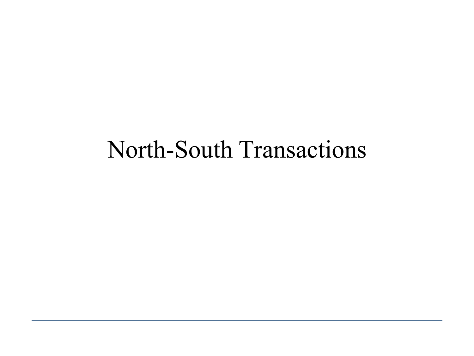## North-South Transactions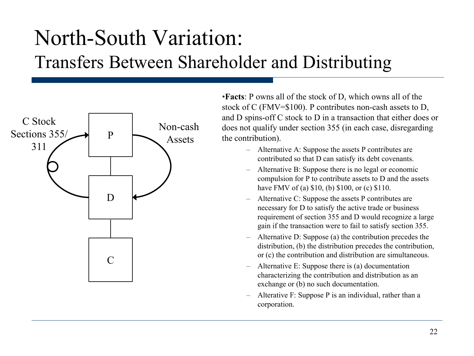### North-South Variation: Transfers Between Shareholder and Distributing



•**Facts**: P owns all of the stock of D, which owns all of the stock of C (FMV=\$100). P contributes non-cash assets to D, and D spins-off C stock to D in a transaction that either does or does not qualify under section 355 (in each case, disregarding the contribution).

- Alternative A: Suppose the assets P contributes are contributed so that D can satisfy its debt covenants.
- Alternative B: Suppose there is no legal or economic compulsion for P to contribute assets to D and the assets have FMV of (a) \$10, (b) \$100, or (c) \$110.
- Alternative C: Suppose the assets P contributes are necessary for D to satisfy the active trade or business requirement of section 355 and D would recognize a large gain if the transaction were to fail to satisfy section 355.
- Alternative D: Suppose (a) the contribution precedes the distribution, (b) the distribution precedes the contribution, or (c) the contribution and distribution are simultaneous.
- Alternative E: Suppose there is (a) documentation characterizing the contribution and distribution as an exchange or (b) no such documentation.
- Alterative F: Suppose P is an individual, rather than a corporation.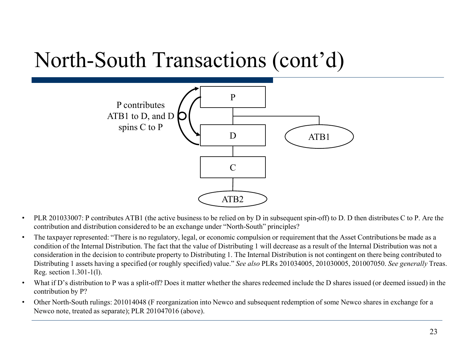#### North-South Transactions (cont'd)



- PLR 201033007: P contributes ATB1 (the active business to be relied on by D in subsequent spin-off) to D. D then distributes C to P. Are the contribution and distribution considered to be an exchange under "North-South" principles?
- The taxpayer represented: "There is no regulatory, legal, or economic compulsion or requirement that the Asset Contributions be made as a condition of the Internal Distribution. The fact that the value of Distributing 1 will decrease as a result of the Internal Distribution was not a consideration in the decision to contribute property to Distributing 1. The Internal Distribution is not contingent on there being contributed to Distributing 1 assets having a specified (or roughly specified) value." *See also* PLRs 201034005, 201030005, 201007050. *See generally* Treas. Reg. section 1.301-1(l).
- What if D's distribution to P was a split-off? Does it matter whether the shares redeemed include the D shares issued (or deemed issued) in the contribution by P?
- Other North-South rulings: 201014048 (F reorganization into Newco and subsequent redemption of some Newco shares in exchange for a Newco note, treated as separate); PLR 201047016 (above).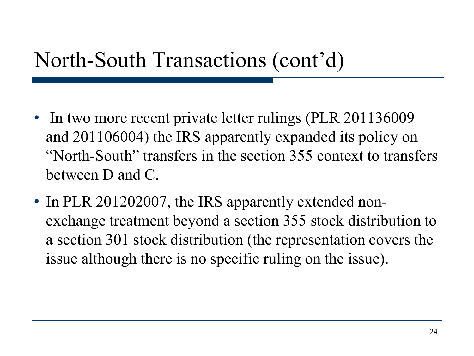#### North-South Transactions (cont'd)

- In two more recent private letter rulings (PLR 201136009) and 201106004) the IRS apparently expanded its policy on "North-South" transfers in the section 355 context to transfers between D and C.
- In PLR 201202007, the IRS apparently extended nonexchange treatment beyond a section 355 stock distribution to a section 301 stock distribution (the representation covers the issue although there is no specific ruling on the issue).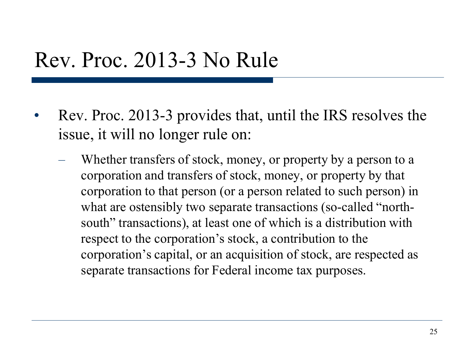#### Rev. Proc. 2013-3 No Rule

- Rev. Proc. 2013-3 provides that, until the IRS resolves the issue, it will no longer rule on:
	- Whether transfers of stock, money, or property by a person to a corporation and transfers of stock, money, or property by that corporation to that person (or a person related to such person) in what are ostensibly two separate transactions (so-called "northsouth" transactions), at least one of which is a distribution with respect to the corporation's stock, a contribution to the corporation's capital, or an acquisition of stock, are respected as separate transactions for Federal income tax purposes.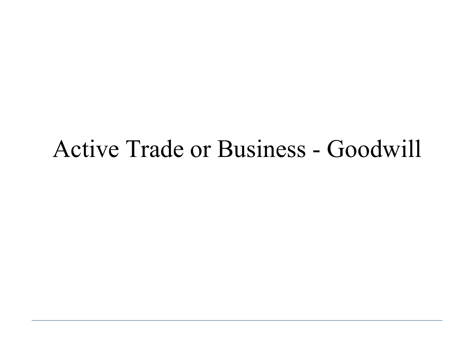### Active Trade or Business - Goodwill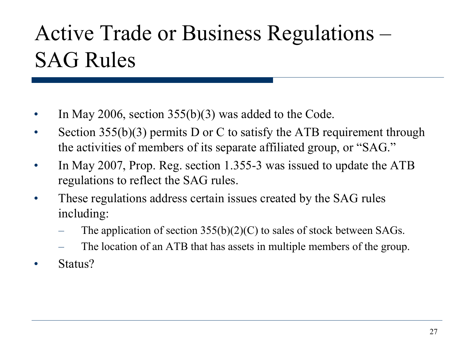## Active Trade or Business Regulations – SAG Rules

- In May 2006, section  $355(b)(3)$  was added to the Code.
- Section 355(b)(3) permits D or C to satisfy the ATB requirement through the activities of members of its separate affiliated group, or "SAG."
- In May 2007, Prop. Reg. section 1.355-3 was issued to update the ATB regulations to reflect the SAG rules.
- These regulations address certain issues created by the SAG rules including:
	- The application of section  $355(b)(2)(C)$  to sales of stock between SAGs.
	- The location of an ATB that has assets in multiple members of the group.
- Status?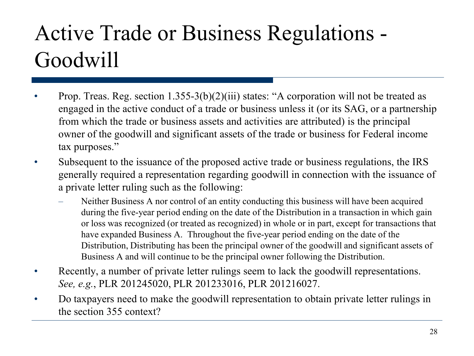## Active Trade or Business Regulations - Goodwill

- Prop. Treas. Reg. section 1.355-3(b)(2)(iii) states: "A corporation will not be treated as engaged in the active conduct of a trade or business unless it (or its SAG, or a partnership from which the trade or business assets and activities are attributed) is the principal owner of the goodwill and significant assets of the trade or business for Federal income tax purposes."
- Subsequent to the issuance of the proposed active trade or business regulations, the IRS generally required a representation regarding goodwill in connection with the issuance of a private letter ruling such as the following:
	- Neither Business A nor control of an entity conducting this business will have been acquired during the five-year period ending on the date of the Distribution in a transaction in which gain or loss was recognized (or treated as recognized) in whole or in part, except for transactions that have expanded Business A. Throughout the five-year period ending on the date of the Distribution, Distributing has been the principal owner of the goodwill and significant assets of Business A and will continue to be the principal owner following the Distribution.
- Recently, a number of private letter rulings seem to lack the goodwill representations. *See, e.g.*, PLR 201245020, PLR 201233016, PLR 201216027.
- Do taxpayers need to make the goodwill representation to obtain private letter rulings in the section 355 context?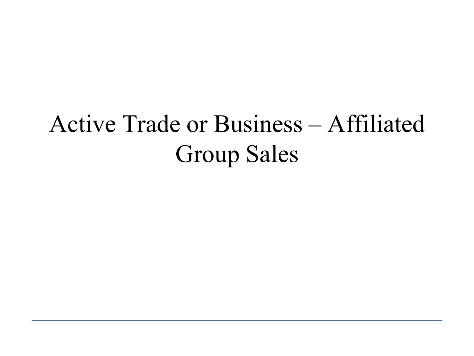# Active Trade or Business – Affiliated Group Sales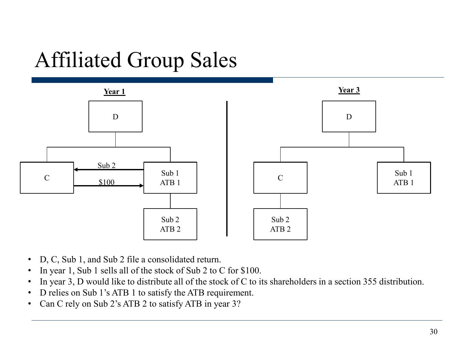## Affiliated Group Sales



- D, C, Sub 1, and Sub 2 file a consolidated return.
- In year 1, Sub 1 sells all of the stock of Sub 2 to C for \$100.
- In year 3, D would like to distribute all of the stock of C to its shareholders in a section 355 distribution.
- D relies on Sub 1's ATB 1 to satisfy the ATB requirement.
- Can C rely on Sub 2's ATB 2 to satisfy ATB in year 3?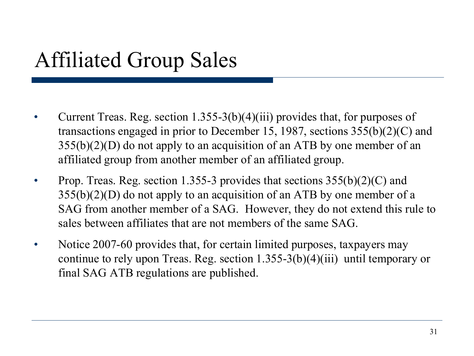## Affiliated Group Sales

- Current Treas. Reg. section 1.355-3(b)(4)(iii) provides that, for purposes of transactions engaged in prior to December 15, 1987, sections 355(b)(2)(C) and  $355(b)(2)(D)$  do not apply to an acquisition of an ATB by one member of an affiliated group from another member of an affiliated group.
- Prop. Treas. Reg. section 1.355-3 provides that sections  $355(b)(2)(C)$  and  $355(b)(2)(D)$  do not apply to an acquisition of an ATB by one member of a SAG from another member of a SAG. However, they do not extend this rule to sales between affiliates that are not members of the same SAG.
- Notice 2007-60 provides that, for certain limited purposes, taxpayers may continue to rely upon Treas. Reg. section 1.355-3(b)(4)(iii) until temporary or final SAG ATB regulations are published.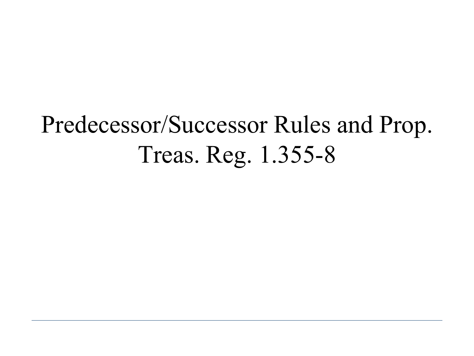# Predecessor/Successor Rules and Prop. Treas. Reg. 1.355-8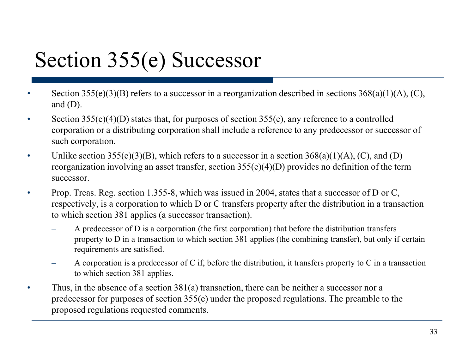## Section 355(e) Successor

- Section 355(e)(3)(B) refers to a successor in a reorganization described in sections  $368(a)(1)(A)$ , (C), and  $(D)$ .
- Section 355(e)(4)(D) states that, for purposes of section 355(e), any reference to a controlled corporation or a distributing corporation shall include a reference to any predecessor or successor of such corporation.
- Unlike section 355(e)(3)(B), which refers to a successor in a section  $368(a)(1)(A)$ , (C), and (D) reorganization involving an asset transfer, section 355(e)(4)(D) provides no definition of the term successor.
- Prop. Treas. Reg. section 1.355-8, which was issued in 2004, states that a successor of D or C, respectively, is a corporation to which D or C transfers property after the distribution in a transaction to which section 381 applies (a successor transaction).
	- A predecessor of D is a corporation (the first corporation) that before the distribution transfers property to D in a transaction to which section 381 applies (the combining transfer), but only if certain requirements are satisfied.
	- A corporation is a predecessor of C if, before the distribution, it transfers property to C in a transaction to which section 381 applies.
- Thus, in the absence of a section 381(a) transaction, there can be neither a successor nor a predecessor for purposes of section 355(e) under the proposed regulations. The preamble to the proposed regulations requested comments.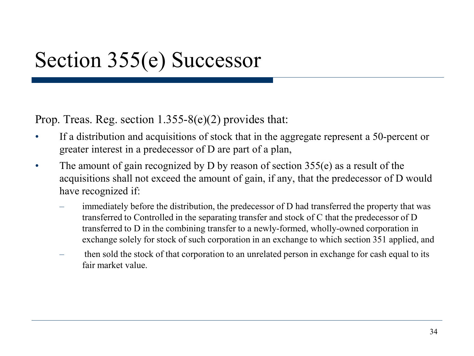### Section 355(e) Successor

Prop. Treas. Reg. section  $1.355-8(e)(2)$  provides that:

- If a distribution and acquisitions of stock that in the aggregate represent a 50-percent or greater interest in a predecessor of D are part of a plan,
- The amount of gain recognized by D by reason of section 355(e) as a result of the acquisitions shall not exceed the amount of gain, if any, that the predecessor of D would have recognized if:
	- immediately before the distribution, the predecessor of D had transferred the property that was transferred to Controlled in the separating transfer and stock of C that the predecessor of D transferred to D in the combining transfer to a newly-formed, wholly-owned corporation in exchange solely for stock of such corporation in an exchange to which section 351 applied, and
	- then sold the stock of that corporation to an unrelated person in exchange for cash equal to its fair market value.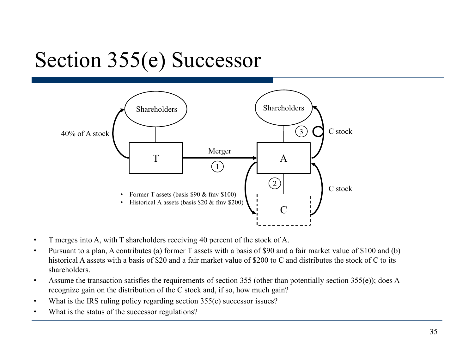## Section 355(e) Successor



- T merges into A, with T shareholders receiving 40 percent of the stock of A.
- Pursuant to a plan, A contributes (a) former T assets with a basis of \$90 and a fair market value of \$100 and (b) historical A assets with a basis of \$20 and a fair market value of \$200 to C and distributes the stock of C to its shareholders.
- Assume the transaction satisfies the requirements of section 355 (other than potentially section 355(e)); does A recognize gain on the distribution of the C stock and, if so, how much gain?
- What is the IRS ruling policy regarding section 355(e) successor issues?
- What is the status of the successor regulations?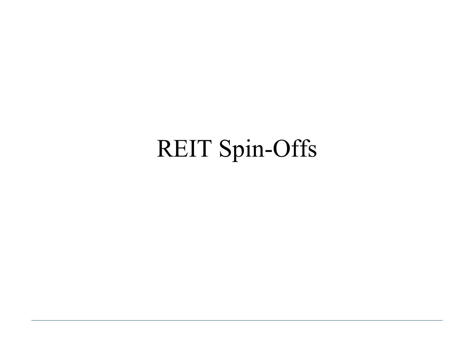# REIT Spin-Offs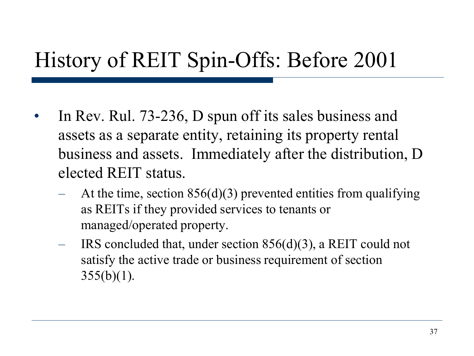### History of REIT Spin-Offs: Before 2001

- In Rev. Rul. 73-236, D spun off its sales business and assets as a separate entity, retaining its property rental business and assets. Immediately after the distribution, D elected REIT status.
	- At the time, section  $856(d)(3)$  prevented entities from qualifying as REITs if they provided services to tenants or managed/operated property.
	- IRS concluded that, under section  $856(d)(3)$ , a REIT could not satisfy the active trade or business requirement of section  $355(b)(1)$ .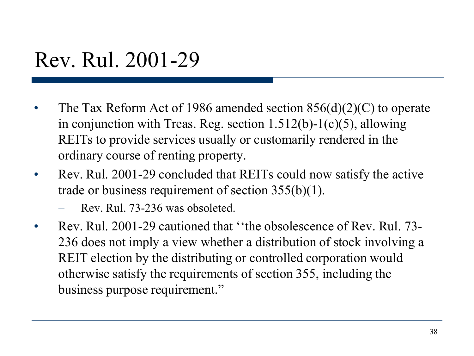#### Rev. Rul. 2001-29

- The Tax Reform Act of 1986 amended section  $856(d)(2)(C)$  to operate in conjunction with Treas. Reg. section 1.512(b)-1(c)(5), allowing REITs to provide services usually or customarily rendered in the ordinary course of renting property.
- Rev. Rul. 2001-29 concluded that REITs could now satisfy the active trade or business requirement of section 355(b)(1).
	- Rev. Rul. 73-236 was obsoleted.
- Rev. Rul. 2001-29 cautioned that "the obsolescence of Rev. Rul. 73-236 does not imply a view whether a distribution of stock involving a REIT election by the distributing or controlled corporation would otherwise satisfy the requirements of section 355, including the business purpose requirement."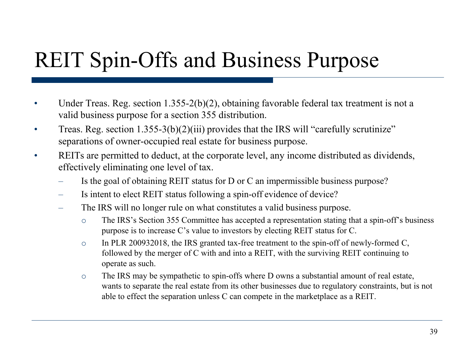## REIT Spin-Offs and Business Purpose

- Under Treas. Reg. section  $1.355-2(b)(2)$ , obtaining favorable federal tax treatment is not a valid business purpose for a section 355 distribution.
- Treas. Reg. section  $1.355-3(b)(2)(iii)$  provides that the IRS will "carefully scrutinize" separations of owner-occupied real estate for business purpose.
- REITs are permitted to deduct, at the corporate level, any income distributed as dividends, effectively eliminating one level of tax.
	- Is the goal of obtaining REIT status for D or C an impermissible business purpose?
	- Is intent to elect REIT status following a spin-off evidence of device?
	- The IRS will no longer rule on what constitutes a valid business purpose.
		- o The IRS's Section 355 Committee has accepted a representation stating that a spin-off's business purpose is to increase C's value to investors by electing REIT status for C.
		- o In PLR 200932018, the IRS granted tax-free treatment to the spin-off of newly-formed C, followed by the merger of C with and into a REIT, with the surviving REIT continuing to operate as such.
		- o The IRS may be sympathetic to spin-offs where D owns a substantial amount of real estate, wants to separate the real estate from its other businesses due to regulatory constraints, but is not able to effect the separation unless C can compete in the marketplace as a REIT.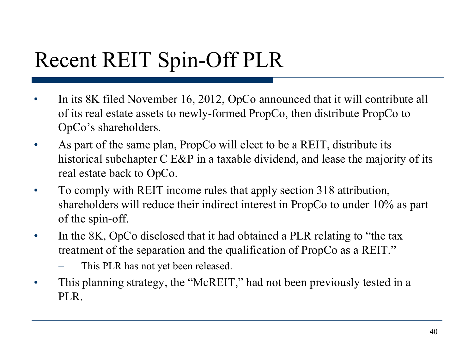## Recent REIT Spin-Off PLR

- In its 8K filed November 16, 2012, OpCo announced that it will contribute all of its real estate assets to newly-formed PropCo, then distribute PropCo to OpCo's shareholders.
- As part of the same plan, PropCo will elect to be a REIT, distribute its historical subchapter C E&P in a taxable dividend, and lease the majority of its real estate back to OpCo.
- To comply with REIT income rules that apply section 318 attribution, shareholders will reduce their indirect interest in PropCo to under 10% as part of the spin-off.
- In the 8K, OpCo disclosed that it had obtained a PLR relating to "the tax" treatment of the separation and the qualification of PropCo as a REIT."
	- This PLR has not yet been released.
- This planning strategy, the "McREIT," had not been previously tested in a PLR.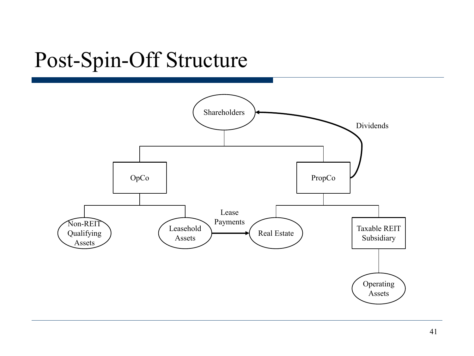## Post-Spin-Off Structure